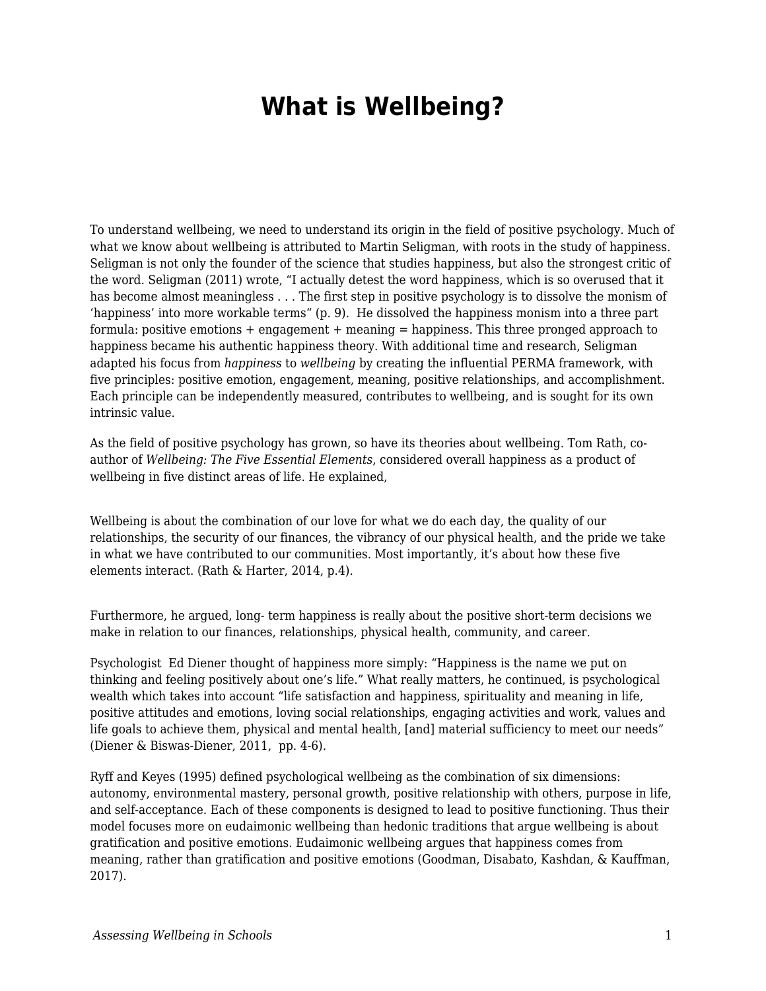## **What is Wellbeing?**

To understand wellbeing, we need to understand its origin in the field of positive psychology. Much of what we know about wellbeing is attributed to Martin Seligman, with roots in the study of happiness. Seligman is not only the founder of the science that studies happiness, but also the strongest critic of the word. Seligman (2011) wrote, "I actually detest the word happiness, which is so overused that it has become almost meaningless . . . The first step in positive psychology is to dissolve the monism of 'happiness' into more workable terms" (p. 9). He dissolved the happiness monism into a three part formula: positive emotions + engagement + meaning = happiness. This three pronged approach to happiness became his authentic happiness theory. With additional time and research, Seligman adapted his focus from *happiness* to *wellbeing* by creating the influential PERMA framework, with five principles: positive emotion, engagement, meaning, positive relationships, and accomplishment. Each principle can be independently measured, contributes to wellbeing, and is sought for its own intrinsic value.

As the field of positive psychology has grown, so have its theories about wellbeing. Tom Rath, coauthor of *Wellbeing: The Five Essential Elements*, considered overall happiness as a product of wellbeing in five distinct areas of life. He explained,

Wellbeing is about the combination of our love for what we do each day, the quality of our relationships, the security of our finances, the vibrancy of our physical health, and the pride we take in what we have contributed to our communities. Most importantly, it's about how these five elements interact. (Rath & Harter, 2014, p.4).

Furthermore, he argued, long- term happiness is really about the positive short-term decisions we make in relation to our finances, relationships, physical health, community, and career.

Psychologist Ed Diener thought of happiness more simply: "Happiness is the name we put on thinking and feeling positively about one's life." What really matters, he continued, is psychological wealth which takes into account "life satisfaction and happiness, spirituality and meaning in life, positive attitudes and emotions, loving social relationships, engaging activities and work, values and life goals to achieve them, physical and mental health, [and] material sufficiency to meet our needs" (Diener & Biswas-Diener, 2011, pp. 4-6).

Ryff and Keyes (1995) defined psychological wellbeing as the combination of six dimensions: autonomy, environmental mastery, personal growth, positive relationship with others, purpose in life, and self-acceptance. Each of these components is designed to lead to positive functioning. Thus their model focuses more on eudaimonic wellbeing than hedonic traditions that argue wellbeing is about gratification and positive emotions. Eudaimonic wellbeing argues that happiness comes from meaning, rather than gratification and positive emotions (Goodman, Disabato, Kashdan, & Kauffman, 2017).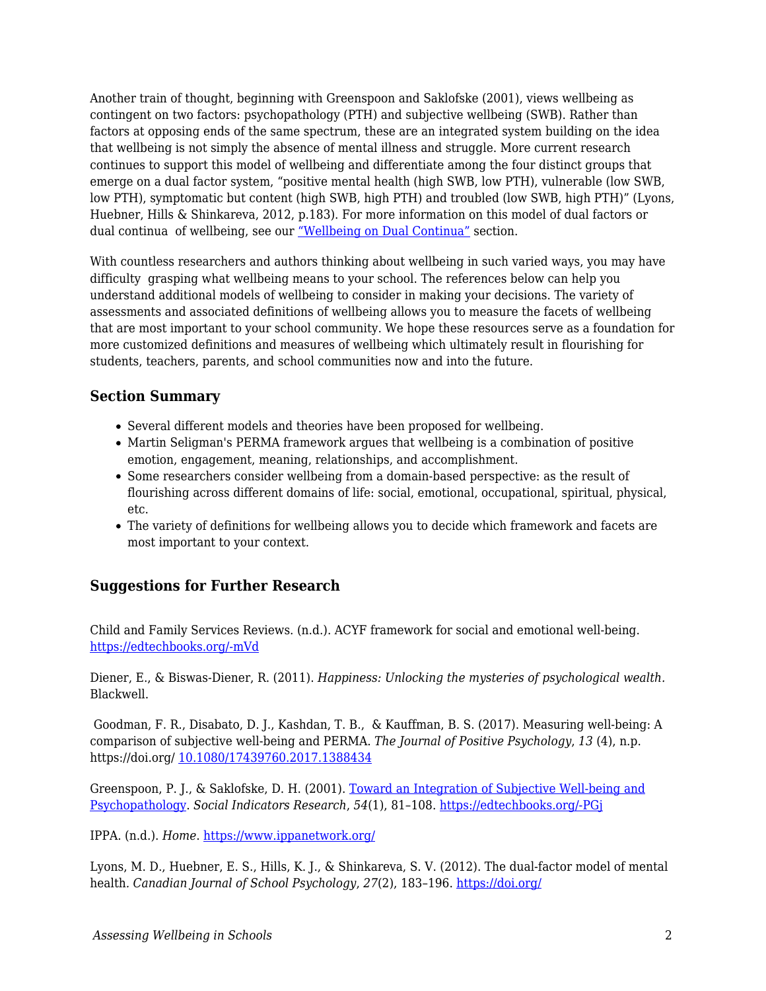Another train of thought, beginning with Greenspoon and Saklofske (2001), views wellbeing as contingent on two factors: psychopathology (PTH) and subjective wellbeing (SWB). Rather than factors at opposing ends of the same spectrum, these are an integrated system building on the idea that wellbeing is not simply the absence of mental illness and struggle. More current research continues to support this model of wellbeing and differentiate among the four distinct groups that emerge on a dual factor system, "positive mental health (high SWB, low PTH), vulnerable (low SWB, low PTH), symptomatic but content (high SWB, high PTH) and troubled (low SWB, high PTH)" (Lyons, Huebner, Hills & Shinkareva, 2012, p.183). For more information on this model of dual factors or dual continua of wellbeing, see our ["Wellbeing on Dual Continua"](https://docs.google.com/document/d/15asLn6_O3QEp2Q8DXsoGianio6gjnTzjfVuZ8et1ijo/edit#heading=h.74hv23ri5ld2) section.

With countless researchers and authors thinking about wellbeing in such varied ways, you may have difficulty grasping what wellbeing means to your school. The references below can help you understand additional models of wellbeing to consider in making your decisions. The variety of assessments and associated definitions of wellbeing allows you to measure the facets of wellbeing that are most important to your school community. We hope these resources serve as a foundation for more customized definitions and measures of wellbeing which ultimately result in flourishing for students, teachers, parents, and school communities now and into the future.

## **Section Summary**

- Several different models and theories have been proposed for wellbeing.
- Martin Seligman's PERMA framework argues that wellbeing is a combination of positive emotion, engagement, meaning, relationships, and accomplishment.
- Some researchers consider wellbeing from a domain-based perspective: as the result of flourishing across different domains of life: social, emotional, occupational, spiritual, physical, etc.
- The variety of definitions for wellbeing allows you to decide which framework and facets are most important to your context.

## **Suggestions for Further Research**

Child and Family Services Reviews. (n.d.). ACYF framework for social and emotional well-being. [https://edtechbooks.org/-mVd](https://training.cfsrportal.acf.hhs.gov/section-4-trauma-child-welfare-system/2453)

Diener, E., & Biswas-Diener, R. (2011). *Happiness: Unlocking the mysteries of psychological wealth.* Blackwell.

 Goodman, F. R., Disabato, D. J., Kashdan, T. B., & Kauffman, B. S. (2017). Measuring well-being: A comparison of subjective well-being and PERMA. *The Journal of Positive Psychology*, *13* (4), n.p. https://doi.org/ [10.1080/17439760.2017.1388434](https://edtechbooks.org/wellbeing/about:blank)

Greenspoon, P. J., & Saklofske, D. H. (2001). [Toward an Integration of Subjective Well-being and](https://link.springer.com/article/10.1023/A:1007219227883) [Psychopathology](https://link.springer.com/article/10.1023/A:1007219227883). *Social Indicators Research*, *54*(1), 81–108. [https://edtechbooks.org/-PGj](https://edtechbooks.org/wellbeing/about:blank)

IPPA. (n.d.). *Home*. <https://www.ippanetwork.org/>

Lyons, M. D., Huebner, E. S., Hills, K. J., & Shinkareva, S. V. (2012). The dual-factor model of mental health*. Canadian Journal of School Psychology*, *27*(2), 183–196. [https://doi.org/](https://edtechbooks.org/wellbeing/about:blank)